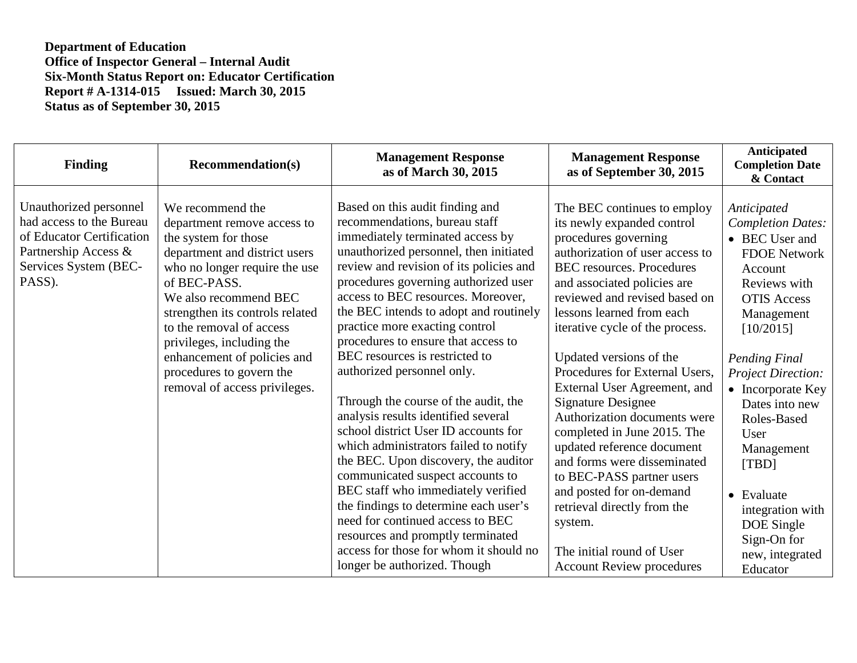| <b>Finding</b>                                                                                                                             | <b>Recommendation(s)</b>                                                                                                                                                                                                                                                                                                                                                   | <b>Management Response</b><br>as of March 30, 2015                                                                                                                                                                                                                                                                                                                                                                                                                                                                                                                                                                                                                                                                                                                                                                                                                                                                                       | <b>Management Response</b><br>as of September 30, 2015                                                                                                                                                                                                                                                                                                                                                                                                                                                                                                                                                                                                                                                             | Anticipated<br><b>Completion Date</b><br>& Contact                                                                                                                                                                                                                                                                                                                                            |
|--------------------------------------------------------------------------------------------------------------------------------------------|----------------------------------------------------------------------------------------------------------------------------------------------------------------------------------------------------------------------------------------------------------------------------------------------------------------------------------------------------------------------------|------------------------------------------------------------------------------------------------------------------------------------------------------------------------------------------------------------------------------------------------------------------------------------------------------------------------------------------------------------------------------------------------------------------------------------------------------------------------------------------------------------------------------------------------------------------------------------------------------------------------------------------------------------------------------------------------------------------------------------------------------------------------------------------------------------------------------------------------------------------------------------------------------------------------------------------|--------------------------------------------------------------------------------------------------------------------------------------------------------------------------------------------------------------------------------------------------------------------------------------------------------------------------------------------------------------------------------------------------------------------------------------------------------------------------------------------------------------------------------------------------------------------------------------------------------------------------------------------------------------------------------------------------------------------|-----------------------------------------------------------------------------------------------------------------------------------------------------------------------------------------------------------------------------------------------------------------------------------------------------------------------------------------------------------------------------------------------|
| Unauthorized personnel<br>had access to the Bureau<br>of Educator Certification<br>Partnership Access &<br>Services System (BEC-<br>PASS). | We recommend the<br>department remove access to<br>the system for those<br>department and district users<br>who no longer require the use<br>of BEC-PASS.<br>We also recommend BEC<br>strengthen its controls related<br>to the removal of access<br>privileges, including the<br>enhancement of policies and<br>procedures to govern the<br>removal of access privileges. | Based on this audit finding and<br>recommendations, bureau staff<br>immediately terminated access by<br>unauthorized personnel, then initiated<br>review and revision of its policies and<br>procedures governing authorized user<br>access to BEC resources. Moreover,<br>the BEC intends to adopt and routinely<br>practice more exacting control<br>procedures to ensure that access to<br>BEC resources is restricted to<br>authorized personnel only.<br>Through the course of the audit, the<br>analysis results identified several<br>school district User ID accounts for<br>which administrators failed to notify<br>the BEC. Upon discovery, the auditor<br>communicated suspect accounts to<br>BEC staff who immediately verified<br>the findings to determine each user's<br>need for continued access to BEC<br>resources and promptly terminated<br>access for those for whom it should no<br>longer be authorized. Though | The BEC continues to employ<br>its newly expanded control<br>procedures governing<br>authorization of user access to<br><b>BEC</b> resources. Procedures<br>and associated policies are<br>reviewed and revised based on<br>lessons learned from each<br>iterative cycle of the process.<br>Updated versions of the<br>Procedures for External Users,<br>External User Agreement, and<br><b>Signature Designee</b><br>Authorization documents were<br>completed in June 2015. The<br>updated reference document<br>and forms were disseminated<br>to BEC-PASS partner users<br>and posted for on-demand<br>retrieval directly from the<br>system.<br>The initial round of User<br><b>Account Review procedures</b> | Anticipated<br><b>Completion Dates:</b><br>• BEC User and<br><b>FDOE Network</b><br>Account<br>Reviews with<br><b>OTIS Access</b><br>Management<br>[10/2015]<br>Pending Final<br><b>Project Direction:</b><br>• Incorporate Key<br>Dates into new<br>Roles-Based<br>User<br>Management<br>[TBD]<br>• Evaluate<br>integration with<br>DOE Single<br>Sign-On for<br>new, integrated<br>Educator |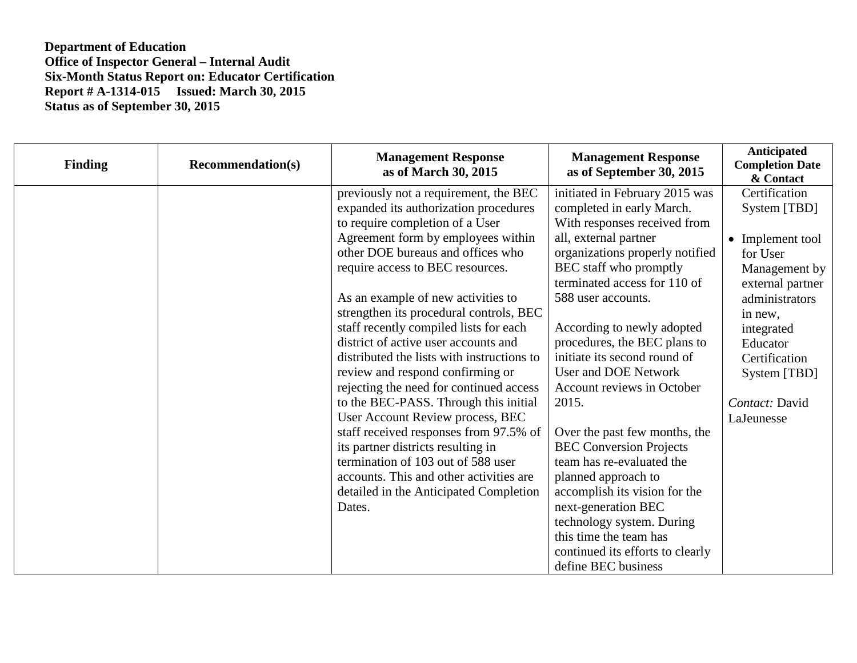| <b>Finding</b> | <b>Recommendation(s)</b> | <b>Management Response</b><br>as of March 30, 2015                                                                                                                                                                                                                                                                                                                                                                                                                                                                                                                                                                                                                                                                                                                                                                                 | <b>Management Response</b><br>as of September 30, 2015                                                                                                                                                                                                                                                                                                                                                                                                                                                                                                                                                           | Anticipated<br><b>Completion Date</b><br>& Contact                                                                                                                                                                         |
|----------------|--------------------------|------------------------------------------------------------------------------------------------------------------------------------------------------------------------------------------------------------------------------------------------------------------------------------------------------------------------------------------------------------------------------------------------------------------------------------------------------------------------------------------------------------------------------------------------------------------------------------------------------------------------------------------------------------------------------------------------------------------------------------------------------------------------------------------------------------------------------------|------------------------------------------------------------------------------------------------------------------------------------------------------------------------------------------------------------------------------------------------------------------------------------------------------------------------------------------------------------------------------------------------------------------------------------------------------------------------------------------------------------------------------------------------------------------------------------------------------------------|----------------------------------------------------------------------------------------------------------------------------------------------------------------------------------------------------------------------------|
|                |                          | previously not a requirement, the BEC<br>expanded its authorization procedures<br>to require completion of a User<br>Agreement form by employees within<br>other DOE bureaus and offices who<br>require access to BEC resources.<br>As an example of new activities to<br>strengthen its procedural controls, BEC<br>staff recently compiled lists for each<br>district of active user accounts and<br>distributed the lists with instructions to<br>review and respond confirming or<br>rejecting the need for continued access<br>to the BEC-PASS. Through this initial<br>User Account Review process, BEC<br>staff received responses from 97.5% of<br>its partner districts resulting in<br>termination of 103 out of 588 user<br>accounts. This and other activities are<br>detailed in the Anticipated Completion<br>Dates. | initiated in February 2015 was<br>completed in early March.<br>With responses received from<br>all, external partner<br>organizations properly notified<br>BEC staff who promptly<br>terminated access for 110 of<br>588 user accounts.<br>According to newly adopted<br>procedures, the BEC plans to<br>initiate its second round of<br>User and DOE Network<br>Account reviews in October<br>2015.<br>Over the past few months, the<br><b>BEC Conversion Projects</b><br>team has re-evaluated the<br>planned approach to<br>accomplish its vision for the<br>next-generation BEC<br>technology system. During | Certification<br>System [TBD]<br>• Implement tool<br>for User<br>Management by<br>external partner<br>administrators<br>in new,<br>integrated<br>Educator<br>Certification<br>System [TBD]<br>Contact: David<br>LaJeunesse |
|                |                          |                                                                                                                                                                                                                                                                                                                                                                                                                                                                                                                                                                                                                                                                                                                                                                                                                                    | this time the team has<br>continued its efforts to clearly<br>define BEC business                                                                                                                                                                                                                                                                                                                                                                                                                                                                                                                                |                                                                                                                                                                                                                            |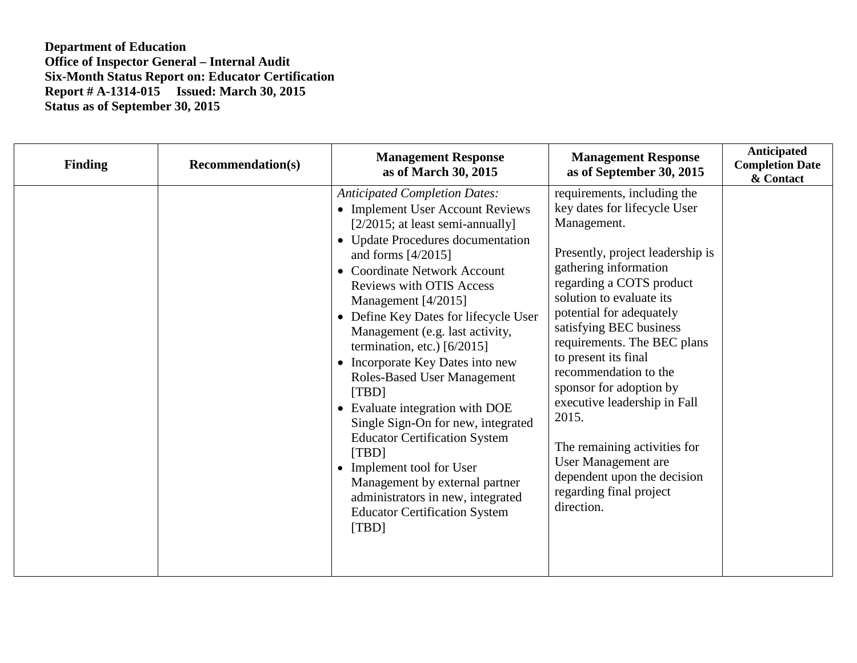| <b>Finding</b> | <b>Recommendation(s)</b> | <b>Management Response</b><br>as of March 30, 2015                                                                                                                                                                                                                                                                                                                                                                                                                                                                                                                                                                                                                                                                                                     | <b>Management Response</b><br>as of September 30, 2015                                                                                                                                                                                                                                                                                                                                                                                                                                                                                    | <b>Anticipated</b><br><b>Completion Date</b><br>& Contact |
|----------------|--------------------------|--------------------------------------------------------------------------------------------------------------------------------------------------------------------------------------------------------------------------------------------------------------------------------------------------------------------------------------------------------------------------------------------------------------------------------------------------------------------------------------------------------------------------------------------------------------------------------------------------------------------------------------------------------------------------------------------------------------------------------------------------------|-------------------------------------------------------------------------------------------------------------------------------------------------------------------------------------------------------------------------------------------------------------------------------------------------------------------------------------------------------------------------------------------------------------------------------------------------------------------------------------------------------------------------------------------|-----------------------------------------------------------|
|                |                          | <b>Anticipated Completion Dates:</b><br>• Implement User Account Reviews<br>$[2/2015;$ at least semi-annually]<br>• Update Procedures documentation<br>and forms $[4/2015]$<br>• Coordinate Network Account<br><b>Reviews with OTIS Access</b><br>Management $[4/2015]$<br>• Define Key Dates for lifecycle User<br>Management (e.g. last activity,<br>termination, etc.) $[6/2015]$<br>• Incorporate Key Dates into new<br><b>Roles-Based User Management</b><br>[TBD]<br>• Evaluate integration with DOE<br>Single Sign-On for new, integrated<br><b>Educator Certification System</b><br>[TBD]<br>• Implement tool for User<br>Management by external partner<br>administrators in new, integrated<br><b>Educator Certification System</b><br>[TBD] | requirements, including the<br>key dates for lifecycle User<br>Management.<br>Presently, project leadership is<br>gathering information<br>regarding a COTS product<br>solution to evaluate its<br>potential for adequately<br>satisfying BEC business<br>requirements. The BEC plans<br>to present its final<br>recommendation to the<br>sponsor for adoption by<br>executive leadership in Fall<br>2015.<br>The remaining activities for<br>User Management are<br>dependent upon the decision<br>regarding final project<br>direction. |                                                           |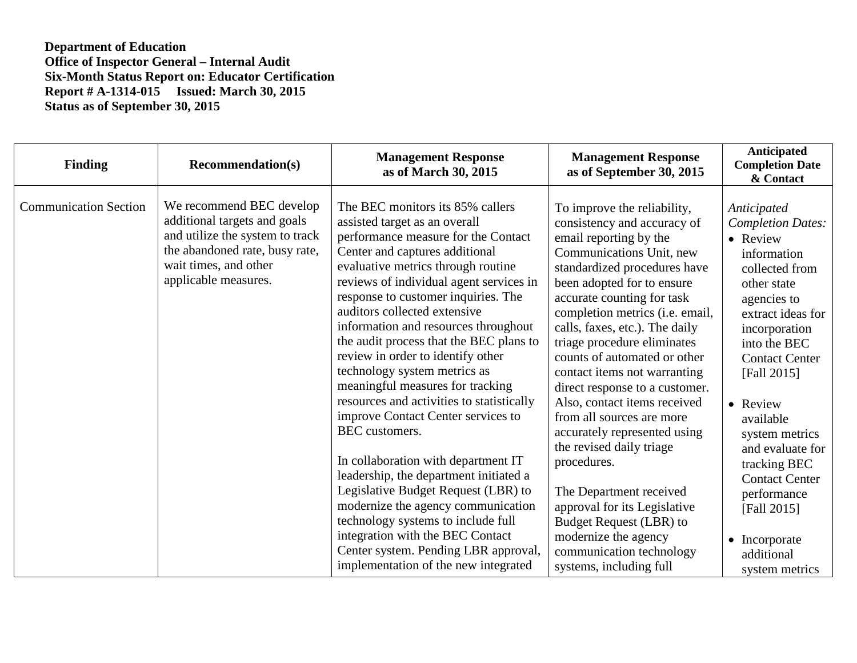| <b>Finding</b>               | <b>Recommendation(s)</b>                                                                                                                                                       | <b>Management Response</b><br>as of March 30, 2015                                                                                                                                                                                                                                                                                                                                                                                                                                                                                                                                                                                                                                                                                                                                                                                                                                                                          | <b>Management Response</b><br>as of September 30, 2015                                                                                                                                                                                                                                                                                                                                                                                                                                                                                                                                                                                                                                                                                 | Anticipated<br><b>Completion Date</b><br>& Contact                                                                                                                                                                                                                                                                                                                                                      |
|------------------------------|--------------------------------------------------------------------------------------------------------------------------------------------------------------------------------|-----------------------------------------------------------------------------------------------------------------------------------------------------------------------------------------------------------------------------------------------------------------------------------------------------------------------------------------------------------------------------------------------------------------------------------------------------------------------------------------------------------------------------------------------------------------------------------------------------------------------------------------------------------------------------------------------------------------------------------------------------------------------------------------------------------------------------------------------------------------------------------------------------------------------------|----------------------------------------------------------------------------------------------------------------------------------------------------------------------------------------------------------------------------------------------------------------------------------------------------------------------------------------------------------------------------------------------------------------------------------------------------------------------------------------------------------------------------------------------------------------------------------------------------------------------------------------------------------------------------------------------------------------------------------------|---------------------------------------------------------------------------------------------------------------------------------------------------------------------------------------------------------------------------------------------------------------------------------------------------------------------------------------------------------------------------------------------------------|
| <b>Communication Section</b> | We recommend BEC develop<br>additional targets and goals<br>and utilize the system to track<br>the abandoned rate, busy rate,<br>wait times, and other<br>applicable measures. | The BEC monitors its 85% callers<br>assisted target as an overall<br>performance measure for the Contact<br>Center and captures additional<br>evaluative metrics through routine<br>reviews of individual agent services in<br>response to customer inquiries. The<br>auditors collected extensive<br>information and resources throughout<br>the audit process that the BEC plans to<br>review in order to identify other<br>technology system metrics as<br>meaningful measures for tracking<br>resources and activities to statistically<br>improve Contact Center services to<br>BEC customers.<br>In collaboration with department IT<br>leadership, the department initiated a<br>Legislative Budget Request (LBR) to<br>modernize the agency communication<br>technology systems to include full<br>integration with the BEC Contact<br>Center system. Pending LBR approval,<br>implementation of the new integrated | To improve the reliability,<br>consistency and accuracy of<br>email reporting by the<br>Communications Unit, new<br>standardized procedures have<br>been adopted for to ensure<br>accurate counting for task<br>completion metrics (i.e. email,<br>calls, faxes, etc.). The daily<br>triage procedure eliminates<br>counts of automated or other<br>contact items not warranting<br>direct response to a customer.<br>Also, contact items received<br>from all sources are more<br>accurately represented using<br>the revised daily triage<br>procedures.<br>The Department received<br>approval for its Legislative<br><b>Budget Request (LBR) to</b><br>modernize the agency<br>communication technology<br>systems, including full | Anticipated<br><b>Completion Dates:</b><br>• Review<br>information<br>collected from<br>other state<br>agencies to<br>extract ideas for<br>incorporation<br>into the BEC<br><b>Contact Center</b><br>[Fall 2015]<br>• Review<br>available<br>system metrics<br>and evaluate for<br>tracking BEC<br><b>Contact Center</b><br>performance<br>[Fall 2015]<br>• Incorporate<br>additional<br>system metrics |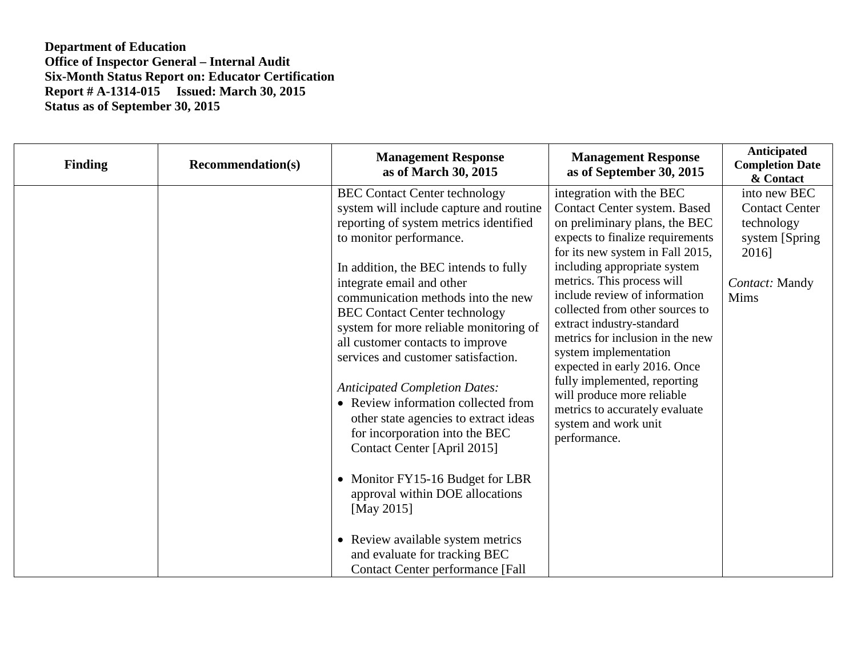| <b>Finding</b> | <b>Recommendation(s)</b> | <b>Management Response</b><br>as of March 30, 2015                                                                                                                                                                                                                                                                                                                                                                                                                                                                                                                                                                                                                                                                                                                                                                           | <b>Management Response</b><br>as of September 30, 2015                                                                                                                                                                                                                                                                                                                                                                                                                                                                                                                | Anticipated<br><b>Completion Date</b><br>& Contact                                                        |
|----------------|--------------------------|------------------------------------------------------------------------------------------------------------------------------------------------------------------------------------------------------------------------------------------------------------------------------------------------------------------------------------------------------------------------------------------------------------------------------------------------------------------------------------------------------------------------------------------------------------------------------------------------------------------------------------------------------------------------------------------------------------------------------------------------------------------------------------------------------------------------------|-----------------------------------------------------------------------------------------------------------------------------------------------------------------------------------------------------------------------------------------------------------------------------------------------------------------------------------------------------------------------------------------------------------------------------------------------------------------------------------------------------------------------------------------------------------------------|-----------------------------------------------------------------------------------------------------------|
|                |                          | <b>BEC Contact Center technology</b><br>system will include capture and routine<br>reporting of system metrics identified<br>to monitor performance.<br>In addition, the BEC intends to fully<br>integrate email and other<br>communication methods into the new<br><b>BEC Contact Center technology</b><br>system for more reliable monitoring of<br>all customer contacts to improve<br>services and customer satisfaction.<br><b>Anticipated Completion Dates:</b><br>• Review information collected from<br>other state agencies to extract ideas<br>for incorporation into the BEC<br>Contact Center [April 2015]<br>• Monitor FY15-16 Budget for LBR<br>approval within DOE allocations<br>[May 2015]<br>• Review available system metrics<br>and evaluate for tracking BEC<br><b>Contact Center performance [Fall</b> | integration with the BEC<br>Contact Center system. Based<br>on preliminary plans, the BEC<br>expects to finalize requirements<br>for its new system in Fall 2015,<br>including appropriate system<br>metrics. This process will<br>include review of information<br>collected from other sources to<br>extract industry-standard<br>metrics for inclusion in the new<br>system implementation<br>expected in early 2016. Once<br>fully implemented, reporting<br>will produce more reliable<br>metrics to accurately evaluate<br>system and work unit<br>performance. | into new BEC<br><b>Contact Center</b><br>technology<br>system [Spring]<br>2016]<br>Contact: Mandy<br>Mims |